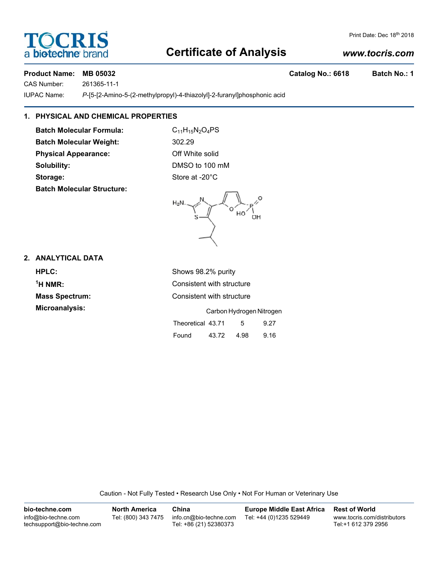# **Certificate of Analysis**

#### *www.tocris.com*

Print Date: Dec 18th 2018

#### **Product Name: MB 05032 Catalog No.: 6618 Batch No.: 1**

**TOCRIS** 

a **biotechne** b

CAS Number: 261365-11-1

IUPAC Name: *P*-[5-[2-Amino-5-(2-methylpropyl)-4-thiazolyl]-2-furanyl]phosphonic acid

### **1. PHYSICAL AND CHEMICAL PROPERTIES**

**Batch Molecular Formula:** C<sub>11</sub>H<sub>15</sub>N<sub>2</sub>O<sub>4</sub>PS **Batch Molecular Weight:** 302.29 **Physical Appearance:** Off White solid **Solubility:** DMSO to 100 mM Storage: Storage: Store at -20°C **Batch Molecular Structure:**



#### **2. ANALYTICAL DATA**

**HPLC:** Shows 98.2% purity  $<sup>1</sup>H NMR$ :</sup> **Consistent with structure Mass Spectrum:** Consistent with structure **Microanalysis:** Carbon Hydrogen Nitrogen Theoretical 43.71 5 9.27

Found 43.72 4.98 9.16

Caution - Not Fully Tested • Research Use Only • Not For Human or Veterinary Use

| bio-techne.com                                    | <b>North America</b> | China                                            | <b>Europe Middle East Africa</b> | <b>Rest of World</b>                               |
|---------------------------------------------------|----------------------|--------------------------------------------------|----------------------------------|----------------------------------------------------|
| info@bio-techne.com<br>techsupport@bio-techne.com | Tel: (800) 343 7475  | info.cn@bio-techne.com<br>Tel: +86 (21) 52380373 | Tel: +44 (0)1235 529449          | www.tocris.com/distributors<br>Tel:+1 612 379 2956 |